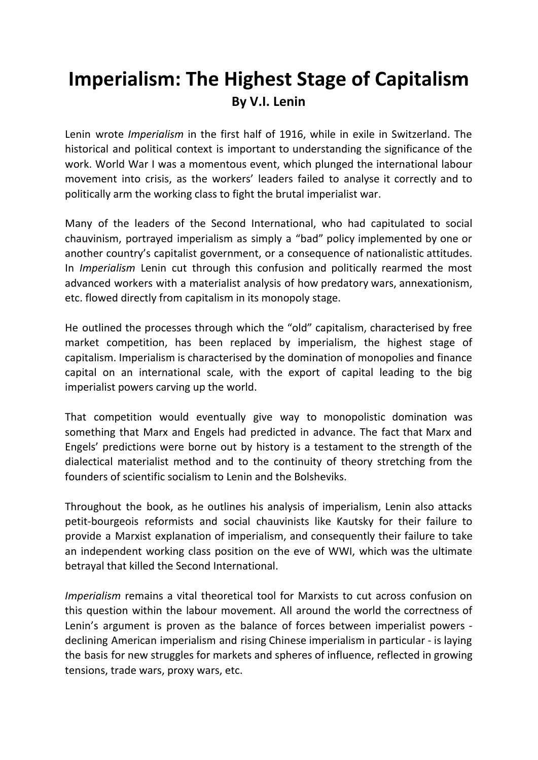# **Imperialism: The Highest Stage of Capitalism By V.I. Lenin**

Lenin wrote *Imperialism* in the first half of 1916, while in exile in Switzerland. The historical and political context is important to understanding the significance of the work. World War I was a momentous event, which plunged the international labour movement into crisis, as the workers' leaders failed to analyse it correctly and to politically arm the working class to fight the brutal imperialist war.

Many of the leaders of the Second International, who had capitulated to social chauvinism, portrayed imperialism as simply a "bad" policy implemented by one or another country's capitalist government, or a consequence of nationalistic attitudes. In *Imperialism* Lenin cut through this confusion and politically rearmed the most advanced workers with a materialist analysis of how predatory wars, annexationism, etc. flowed directly from capitalism in its monopoly stage.

He outlined the processes through which the "old" capitalism, characterised by free market competition, has been replaced by imperialism, the highest stage of capitalism. Imperialism is characterised by the domination of monopolies and finance capital on an international scale, with the export of capital leading to the big imperialist powers carving up the world.

That competition would eventually give way to monopolistic domination was something that Marx and Engels had predicted in advance. The fact that Marx and Engels' predictions were borne out by history is a testament to the strength of the dialectical materialist method and to the continuity of theory stretching from the founders of scientific socialism to Lenin and the Bolsheviks.

Throughout the book, as he outlines his analysis of imperialism, Lenin also attacks petit-bourgeois reformists and social chauvinists like Kautsky for their failure to provide a Marxist explanation of imperialism, and consequently their failure to take an independent working class position on the eve of WWI, which was the ultimate betrayal that killed the Second International.

*Imperialism* remains a vital theoretical tool for Marxists to cut across confusion on this question within the labour movement. All around the world the correctness of Lenin's argument is proven as the balance of forces between imperialist powers declining American imperialism and rising Chinese imperialism in particular - is laying the basis for new struggles for markets and spheres of influence, reflected in growing tensions, trade wars, proxy wars, etc.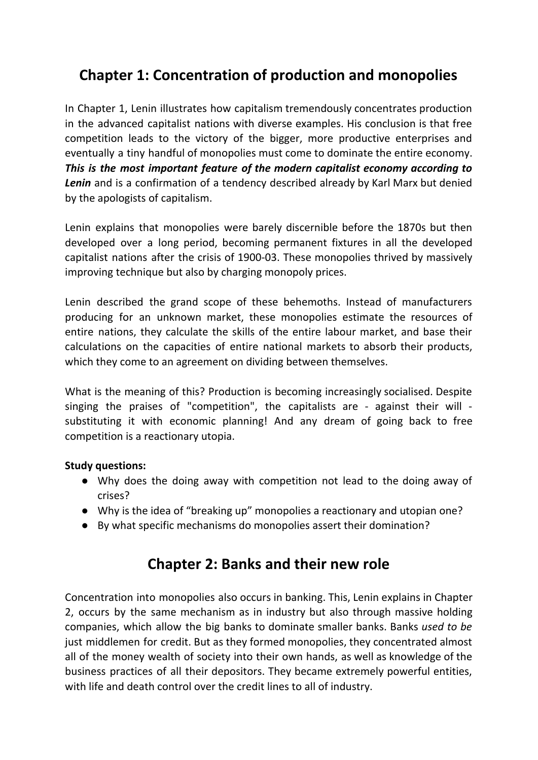# **Chapter 1: Concentration of production and monopolies**

In Chapter 1, Lenin illustrates how capitalism tremendously concentrates production in the advanced capitalist nations with diverse examples. His conclusion is that free competition leads to the victory of the bigger, more productive enterprises and eventually a tiny handful of monopolies must come to dominate the entire economy. *This is the most important feature of the modern capitalist economy according to Lenin* and is a confirmation of a tendency described already by Karl Marx but denied by the apologists of capitalism.

Lenin explains that monopolies were barely discernible before the 1870s but then developed over a long period, becoming permanent fixtures in all the developed capitalist nations after the crisis of 1900-03. These monopolies thrived by massively improving technique but also by charging monopoly prices.

Lenin described the grand scope of these behemoths. Instead of manufacturers producing for an unknown market, these monopolies estimate the resources of entire nations, they calculate the skills of the entire labour market, and base their calculations on the capacities of entire national markets to absorb their products, which they come to an agreement on dividing between themselves.

What is the meaning of this? Production is becoming increasingly socialised. Despite singing the praises of "competition", the capitalists are - against their will substituting it with economic planning! And any dream of going back to free competition is a reactionary utopia.

### **Study questions:**

- Why does the doing away with competition not lead to the doing away of crises?
- Why is the idea of "breaking up" monopolies a reactionary and utopian one?
- By what specific mechanisms do monopolies assert their domination?

### **Chapter 2: Banks and their new role**

Concentration into monopolies also occurs in banking. This, Lenin explains in Chapter 2, occurs by the same mechanism as in industry but also through massive holding companies, which allow the big banks to dominate smaller banks. Banks *used to be* just middlemen for credit. But as they formed monopolies, they concentrated almost all of the money wealth of society into their own hands, as well as knowledge of the business practices of all their depositors. They became extremely powerful entities, with life and death control over the credit lines to all of industry.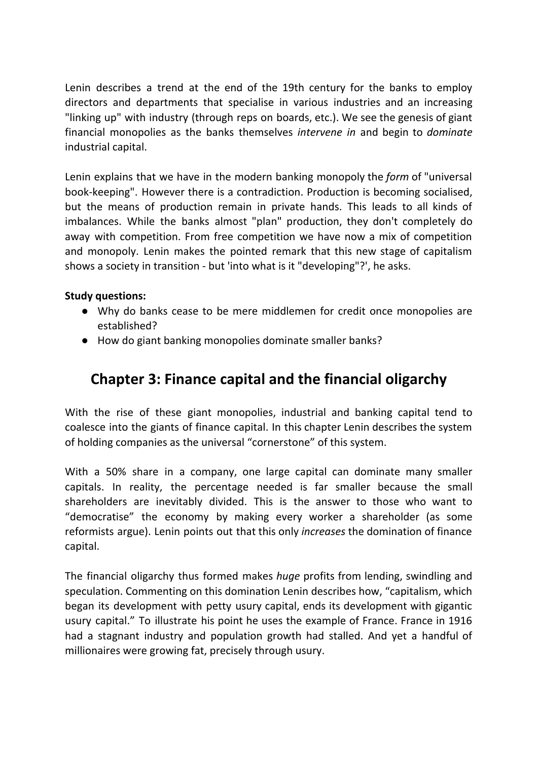Lenin describes a trend at the end of the 19th century for the banks to employ directors and departments that specialise in various industries and an increasing "linking up" with industry (through reps on boards, etc.). We see the genesis of giant financial monopolies as the banks themselves *intervene in* and begin to *dominate* industrial capital.

Lenin explains that we have in the modern banking monopoly the *form* of "universal book-keeping". However there is a contradiction. Production is becoming socialised, but the means of production remain in private hands. This leads to all kinds of imbalances. While the banks almost "plan" production, they don't completely do away with competition. From free competition we have now a mix of competition and monopoly. Lenin makes the pointed remark that this new stage of capitalism shows a society in transition - but 'into what is it "developing"?', he asks.

### **Study questions:**

- Why do banks cease to be mere middlemen for credit once monopolies are established?
- How do giant banking monopolies dominate smaller banks?

### **Chapter 3: Finance capital and the financial oligarchy**

With the rise of these giant monopolies, industrial and banking capital tend to coalesce into the giants of finance capital. In this chapter Lenin describes the system of holding companies as the universal "cornerstone" of this system.

With a 50% share in a company, one large capital can dominate many smaller capitals. In reality, the percentage needed is far smaller because the small shareholders are inevitably divided. This is the answer to those who want to "democratise" the economy by making every worker a shareholder (as some reformists argue). Lenin points out that this only *increases* the domination of finance capital.

The financial oligarchy thus formed makes *huge* profits from lending, swindling and speculation. Commenting on this domination Lenin describes how, "capitalism, which began its development with petty usury capital, ends its development with gigantic usury capital." To illustrate his point he uses the example of France. France in 1916 had a stagnant industry and population growth had stalled. And yet a handful of millionaires were growing fat, precisely through usury.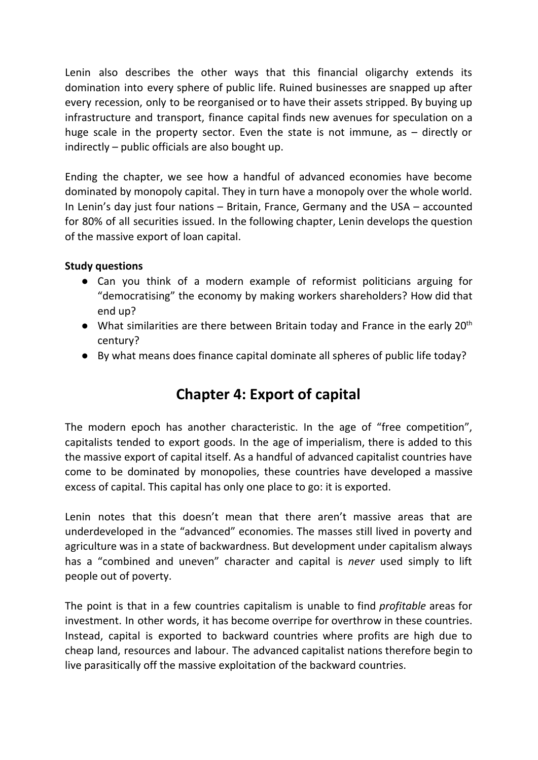Lenin also describes the other ways that this financial oligarchy extends its domination into every sphere of public life. Ruined businesses are snapped up after every recession, only to be reorganised or to have their assets stripped. By buying up infrastructure and transport, finance capital finds new avenues for speculation on a huge scale in the property sector. Even the state is not immune, as – directly or indirectly – public officials are also bought up.

Ending the chapter, we see how a handful of advanced economies have become dominated by monopoly capital. They in turn have a monopoly over the whole world. In Lenin's day just four nations – Britain, France, Germany and the USA – accounted for 80% of all securities issued. In the following chapter, Lenin develops the question of the massive export of loan capital.

### **Study questions**

- Can you think of a modern example of reformist politicians arguing for "democratising" the economy by making workers shareholders? How did that end up?
- $\bullet$  What similarities are there between Britain today and France in the early 20<sup>th</sup> century?
- By what means does finance capital dominate all spheres of public life today?

# **Chapter 4: Export of capital**

The modern epoch has another characteristic. In the age of "free competition", capitalists tended to export goods. In the age of imperialism, there is added to this the massive export of capital itself. As a handful of advanced capitalist countries have come to be dominated by monopolies, these countries have developed a massive excess of capital. This capital has only one place to go: it is exported.

Lenin notes that this doesn't mean that there aren't massive areas that are underdeveloped in the "advanced" economies. The masses still lived in poverty and agriculture was in a state of backwardness. But development under capitalism always has a "combined and uneven" character and capital is *never* used simply to lift people out of poverty.

The point is that in a few countries capitalism is unable to find *profitable* areas for investment. In other words, it has become overripe for overthrow in these countries. Instead, capital is exported to backward countries where profits are high due to cheap land, resources and labour. The advanced capitalist nations therefore begin to live parasitically off the massive exploitation of the backward countries.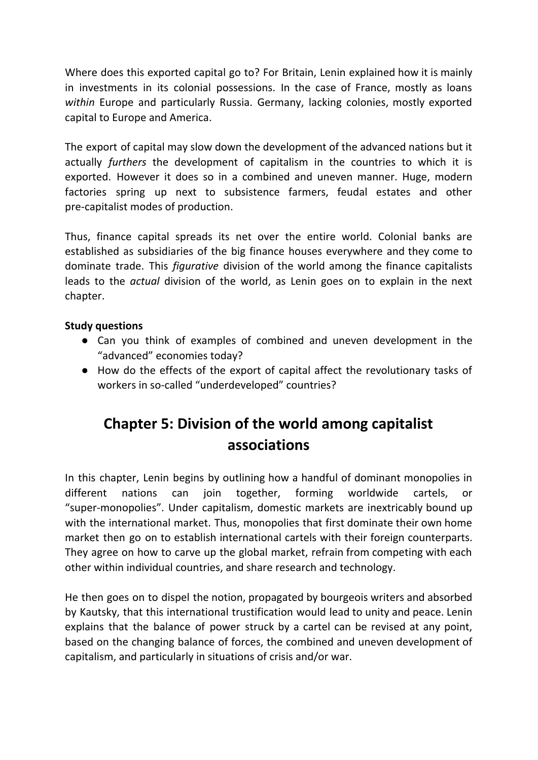Where does this exported capital go to? For Britain, Lenin explained how it is mainly in investments in its colonial possessions. In the case of France, mostly as loans *within* Europe and particularly Russia. Germany, lacking colonies, mostly exported capital to Europe and America.

The export of capital may slow down the development of the advanced nations but it actually *furthers* the development of capitalism in the countries to which it is exported. However it does so in a combined and uneven manner. Huge, modern factories spring up next to subsistence farmers, feudal estates and other pre-capitalist modes of production.

Thus, finance capital spreads its net over the entire world. Colonial banks are established as subsidiaries of the big finance houses everywhere and they come to dominate trade. This *figurative* division of the world among the finance capitalists leads to the *actual* division of the world, as Lenin goes on to explain in the next chapter.

### **Study questions**

- Can you think of examples of combined and uneven development in the "advanced" economies today?
- How do the effects of the export of capital affect the revolutionary tasks of workers in so-called "underdeveloped" countries?

# **Chapter 5: Division of the world among capitalist associations**

In this chapter, Lenin begins by outlining how a handful of dominant monopolies in different nations can join together, forming worldwide cartels, or "super-monopolies". Under capitalism, domestic markets are inextricably bound up with the international market. Thus, monopolies that first dominate their own home market then go on to establish international cartels with their foreign counterparts. They agree on how to carve up the global market, refrain from competing with each other within individual countries, and share research and technology.

He then goes on to dispel the notion, propagated by bourgeois writers and absorbed by Kautsky, that this international trustification would lead to unity and peace. Lenin explains that the balance of power struck by a cartel can be revised at any point, based on the changing balance of forces, the combined and uneven development of capitalism, and particularly in situations of crisis and/or war.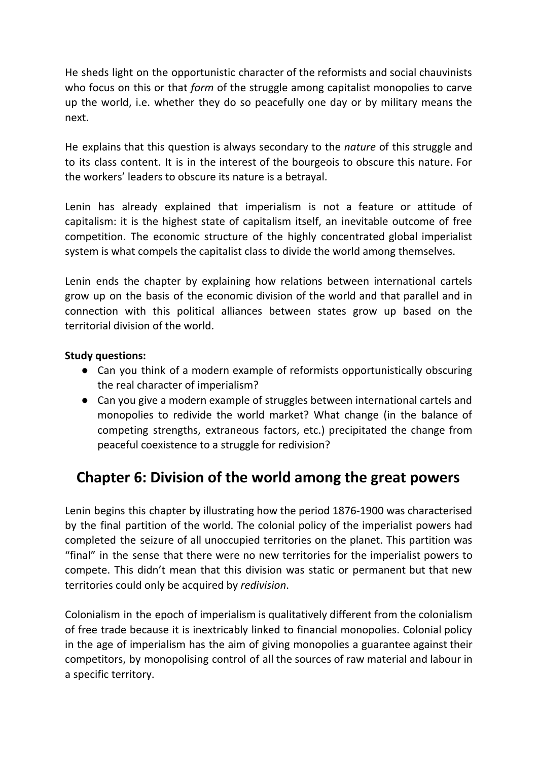He sheds light on the opportunistic character of the reformists and social chauvinists who focus on this or that *form* of the struggle among capitalist monopolies to carve up the world, i.e. whether they do so peacefully one day or by military means the next.

He explains that this question is always secondary to the *nature* of this struggle and to its class content. It is in the interest of the bourgeois to obscure this nature. For the workers' leaders to obscure its nature is a betrayal.

Lenin has already explained that imperialism is not a feature or attitude of capitalism: it is the highest state of capitalism itself, an inevitable outcome of free competition. The economic structure of the highly concentrated global imperialist system is what compels the capitalist class to divide the world among themselves.

Lenin ends the chapter by explaining how relations between international cartels grow up on the basis of the economic division of the world and that parallel and in connection with this political alliances between states grow up based on the territorial division of the world.

### **Study questions:**

- Can you think of a modern example of reformists opportunistically obscuring the real character of imperialism?
- Can you give a modern example of struggles between international cartels and monopolies to redivide the world market? What change (in the balance of competing strengths, extraneous factors, etc.) precipitated the change from peaceful coexistence to a struggle for redivision?

### **Chapter 6: Division of the world among the great powers**

Lenin begins this chapter by illustrating how the period 1876-1900 was characterised by the final partition of the world. The colonial policy of the imperialist powers had completed the seizure of all unoccupied territories on the planet. This partition was "final" in the sense that there were no new territories for the imperialist powers to compete. This didn't mean that this division was static or permanent but that new territories could only be acquired by *redivision*.

Colonialism in the epoch of imperialism is qualitatively different from the colonialism of free trade because it is inextricably linked to financial monopolies. Colonial policy in the age of imperialism has the aim of giving monopolies a guarantee against their competitors, by monopolising control of all the sources of raw material and labour in a specific territory.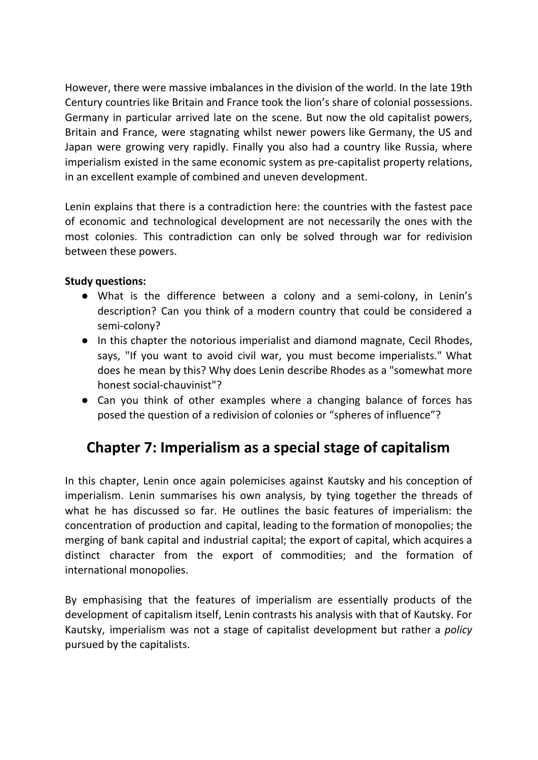However, there were massive imbalances in the division of the world. In the late 19th Century countries like Britain and France took the lion's share of colonial possessions. Germany in particular arrived late on the scene. But now the old capitalist powers, Britain and France, were stagnating whilst newer powers like Germany, the US and Japan were growing very rapidly. Finally you also had a country like Russia, where imperialism existed in the same economic system as pre-capitalist property relations, in an excellent example of combined and uneven development.

Lenin explains that there is a contradiction here: the countries with the fastest pace of economic and technological development are not necessarily the ones with the most colonies. This contradiction can only be solved through war for redivision between these powers.

### **Study questions:**

- What is the difference between a colony and a semi-colony, in Lenin's description? Can you think of a modern country that could be considered a semi-colony?
- In this chapter the notorious imperialist and diamond magnate, Cecil Rhodes, says, "If you want to avoid civil war, you must become imperialists." What does he mean by this? Why does Lenin describe Rhodes as a "somewhat more honest social-chauvinist"?
- Can you think of other examples where a changing balance of forces has posed the question of a redivision of colonies or "spheres of influence"?

# **Chapter 7: Imperialism as a special stage of capitalism**

In this chapter, Lenin once again polemicises against Kautsky and his conception of imperialism. Lenin summarises his own analysis, by tying together the threads of what he has discussed so far. He outlines the basic features of imperialism: the concentration of production and capital, leading to the formation of monopolies; the merging of bank capital and industrial capital; the export of capital, which acquires a distinct character from the export of commodities; and the formation of international monopolies.

By emphasising that the features of imperialism are essentially products of the development of capitalism itself, Lenin contrasts his analysis with that of Kautsky. For Kautsky, imperialism was not a stage of capitalist development but rather a *policy* pursued by the capitalists.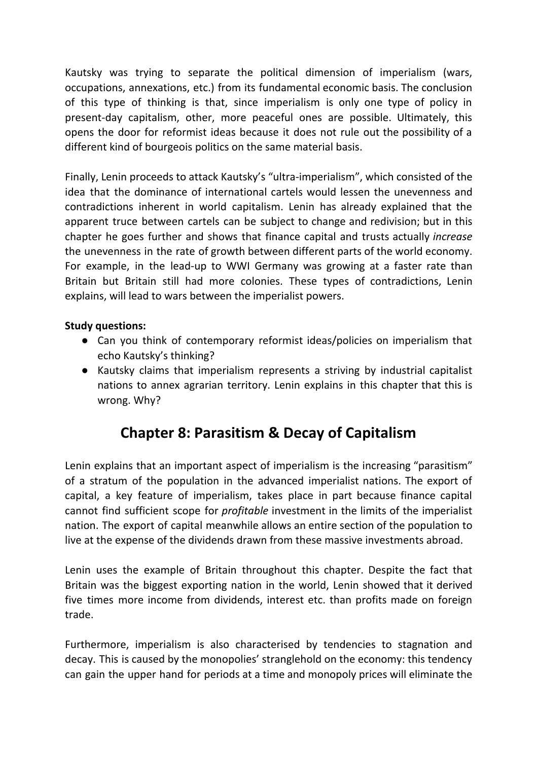Kautsky was trying to separate the political dimension of imperialism (wars, occupations, annexations, etc.) from its fundamental economic basis. The conclusion of this type of thinking is that, since imperialism is only one type of policy in present-day capitalism, other, more peaceful ones are possible. Ultimately, this opens the door for reformist ideas because it does not rule out the possibility of a different kind of bourgeois politics on the same material basis.

Finally, Lenin proceeds to attack Kautsky's "ultra-imperialism", which consisted of the idea that the dominance of international cartels would lessen the unevenness and contradictions inherent in world capitalism. Lenin has already explained that the apparent truce between cartels can be subject to change and redivision; but in this chapter he goes further and shows that finance capital and trusts actually *increase* the unevenness in the rate of growth between different parts of the world economy. For example, in the lead-up to WWI Germany was growing at a faster rate than Britain but Britain still had more colonies. These types of contradictions, Lenin explains, will lead to wars between the imperialist powers.

### **Study questions:**

- Can you think of contemporary reformist ideas/policies on imperialism that echo Kautsky's thinking?
- Kautsky claims that imperialism represents a striving by industrial capitalist nations to annex agrarian territory. Lenin explains in this chapter that this is wrong. Why?

# **Chapter 8: Parasitism & Decay of Capitalism**

Lenin explains that an important aspect of imperialism is the increasing "parasitism" of a stratum of the population in the advanced imperialist nations. The export of capital, a key feature of imperialism, takes place in part because finance capital cannot find sufficient scope for *profitable* investment in the limits of the imperialist nation. The export of capital meanwhile allows an entire section of the population to live at the expense of the dividends drawn from these massive investments abroad.

Lenin uses the example of Britain throughout this chapter. Despite the fact that Britain was the biggest exporting nation in the world, Lenin showed that it derived five times more income from dividends, interest etc. than profits made on foreign trade.

Furthermore, imperialism is also characterised by tendencies to stagnation and decay. This is caused by the monopolies' stranglehold on the economy: this tendency can gain the upper hand for periods at a time and monopoly prices will eliminate the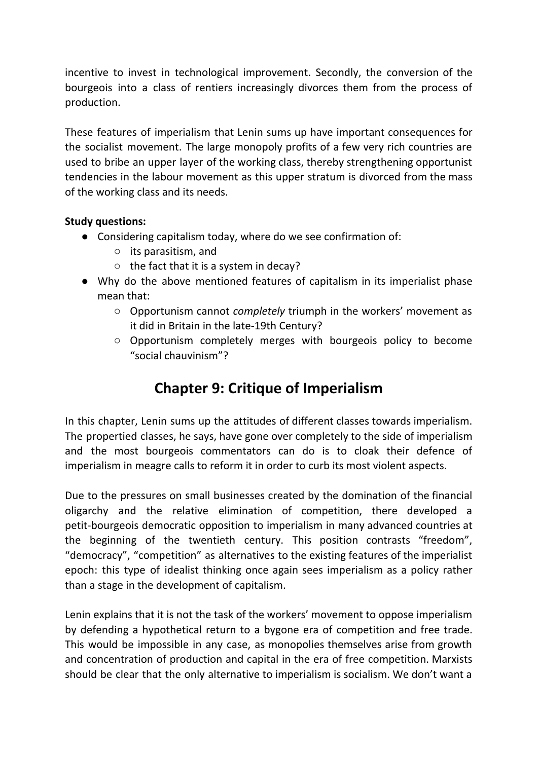incentive to invest in technological improvement. Secondly, the conversion of the bourgeois into a class of rentiers increasingly divorces them from the process of production.

These features of imperialism that Lenin sums up have important consequences for the socialist movement. The large monopoly profits of a few very rich countries are used to bribe an upper layer of the working class, thereby strengthening opportunist tendencies in the labour movement as this upper stratum is divorced from the mass of the working class and its needs.

### **Study questions:**

- Considering capitalism today, where do we see confirmation of:
	- its parasitism, and
	- the fact that it is a system in decay?
- Why do the above mentioned features of capitalism in its imperialist phase mean that:
	- Opportunism cannot *completely* triumph in the workers' movement as it did in Britain in the late-19th Century?
	- Opportunism completely merges with bourgeois policy to become "social chauvinism"?

# **Chapter 9: Critique of Imperialism**

In this chapter, Lenin sums up the attitudes of different classes towards imperialism. The propertied classes, he says, have gone over completely to the side of imperialism and the most bourgeois commentators can do is to cloak their defence of imperialism in meagre calls to reform it in order to curb its most violent aspects.

Due to the pressures on small businesses created by the domination of the financial oligarchy and the relative elimination of competition, there developed a petit-bourgeois democratic opposition to imperialism in many advanced countries at the beginning of the twentieth century. This position contrasts "freedom", "democracy", "competition" as alternatives to the existing features of the imperialist epoch: this type of idealist thinking once again sees imperialism as a policy rather than a stage in the development of capitalism.

Lenin explains that it is not the task of the workers' movement to oppose imperialism by defending a hypothetical return to a bygone era of competition and free trade. This would be impossible in any case, as monopolies themselves arise from growth and concentration of production and capital in the era of free competition. Marxists should be clear that the only alternative to imperialism is socialism. We don't want a